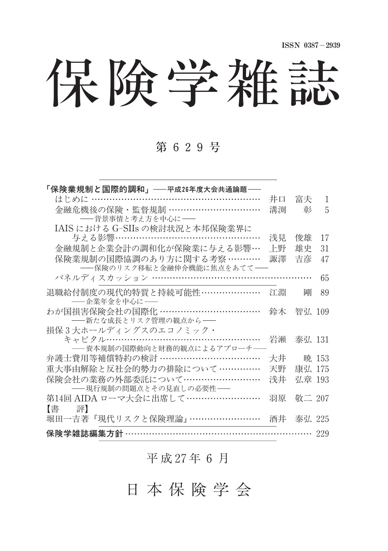ISSN 0387-2939

# 保険学雑誌

### 第 629号

| 「保険業規制と国際的調和」──平成26年度大会共通論題──  |    |           |       |
|--------------------------------|----|-----------|-------|
| はじめに ………………………………………………        | 井口 | 富夫        | 1     |
| 金融危機後の保険・監督規制 …………………………       | 溝渕 | 彰         | 5     |
| ――背景事情と考え方を中心に――               |    |           |       |
| IAIS における G-SIIs の検討状況と本邦保険業界に |    |           |       |
| 与える影響……………………………………………         | 浅見 | 俊雄        | 17    |
| 金融規制と企業会計の調和化が保険業に与える影響…       | 上野 | 雄史        | 31    |
| 保険業規制の国際協調のあり方に関する考察 …………      | 諏澤 | 吉彦        | 47    |
| ——保険のリスク移転と金融仲介機能に焦点をあてて——     |    |           |       |
| パネルディスカッション ……………………………………………… |    |           | 65    |
| 退職給付制度の現代的特質と持続可能性…………………      | 江淵 | 剛         | 89    |
| -- 企業年金を中心に --                 |    |           |       |
| わが国損害保険会社の国際化 ……………………………      |    | 鈴木 智弘 109 |       |
| ──新たな成長とリスク管理の観点から──           |    |           |       |
| 損保3大ホールディングスのエコノミック・           |    |           |       |
| キャピタル………………………………………………        | 岩瀬 | 泰弘 131    |       |
| -- 資本規制の国際動向と財務的観点によるアプローチ-    |    |           |       |
| 弁護士費用等補償特約の検討 ……………………………      | 大井 |           | 暁 153 |
| 重大事由解除と反社会的勢力の排除について……………      | 天野 | 康弘 175    |       |
| 保険会社の業務の外部委託について……………………       | 浅井 | 弘章 193    |       |
| ――現行規制の問題点とその見直しの必要性――         |    |           |       |
| 第14回 AIDA ローマ大会に出席して……………………   | 羽原 | 敬二 207    |       |
| 【書 評】                          |    |           |       |
| 堀田一吉著『現代リスクと保険理論』……………………      | 酒井 | - 泰弘 225  |       |
| 保険学雑誌編集方針 …………………………………………………… |    |           | 229   |

#### 平 成 27年 6 月

日 本 保 険 学 会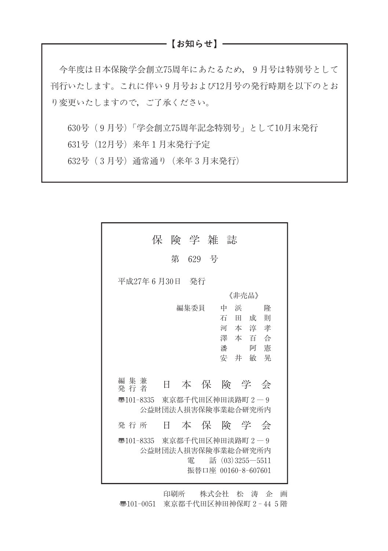——【お知らせ】—

今年度は日本保険学会創立75周年にあたるため,9月号は特別号として 刊行いたします。これに伴い9月号および12月号の発行時期を以下のとお り変更いたしますので,ご了承ください。

630号(9月号)「学会創立75周年記念特別号」として10月末発行

631号(12月号)来年1月末発行予定

632号(3月号)通常通り(来年3月末発行)

|                           | 保険学雑誌              |         |                                                                  |                                               |
|---------------------------|--------------------|---------|------------------------------------------------------------------|-----------------------------------------------|
|                           |                    | 第 629 号 |                                                                  |                                               |
| 平成27年6月30日  発行            |                    |         |                                                                  |                                               |
|                           |                    |         | 《非売品》                                                            |                                               |
| 編集兼<br>発行者<br>ক্ত101-8335 | Ħ                  | 編集委員    | 中<br>浜<br>石田成<br>河本淳<br>澤 本 百<br>潘<br>安<br>井<br>東京都千代田区神田淡路町 2-9 | 隆<br>則<br>孝<br>合<br>憲<br>阿<br>晃<br>敏<br>本保険学会 |
|                           | 公益財団法人捐害保険事業総合研究所内 |         |                                                                  |                                               |
| 発 行 所                     | Ħ                  |         |                                                                  | 本保険学会                                         |
| ক্ত101-8335               | 公益財団法人捐害保険事業総合研究所内 | 雷       | 東京都千代田区神田淡路町 2-9<br>話 $(03)3255 - 5511$<br>振替口座 00160-8-607601   |                                               |

印刷所 株式会社 松 涛 企 画 〠101-0051 東京都千代田区神田神保町2-445階